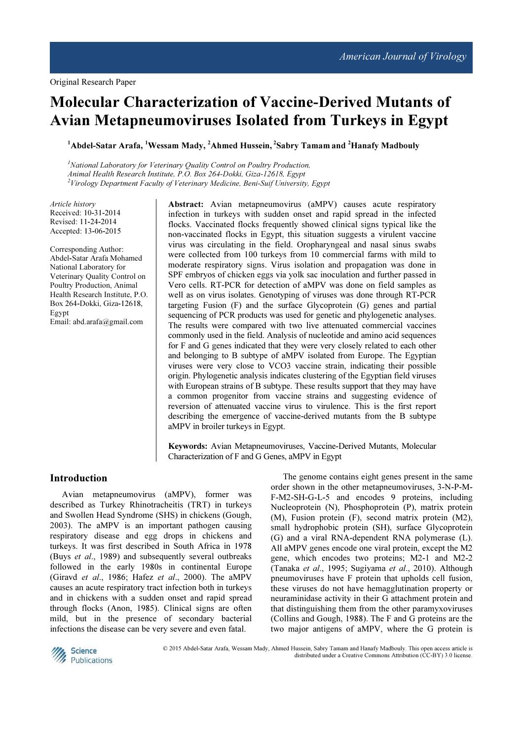# Molecular Characterization of Vaccine-Derived Mutants of Avian Metapneumoviruses Isolated from Turkeys in Egypt

<sup>1</sup>Abdel-Satar Arafa, <sup>1</sup>Wessam Mady, <sup>2</sup>Ahmed Hussein, <sup>2</sup>Sabry Tamam and <sup>2</sup>Hanafy Madbouly

 $<sup>I</sup>$ National Laboratory for Veterinary Ouality Control on Poultry Production,</sup> Animal Health Research Institute, P.O. Box 264-Dokki, Giza-12618, Egypt  $2$ Virology Department Faculty of Veterinary Medicine, Beni-Suif University, Egypt

Article history Received: 10-31-2014 Revised: 11-24-2014 Accepted: 13-06-2015

Corresponding Author: Abdel-Satar Arafa Mohamed National Laboratory for Veterinary Quality Control on Poultry Production, Animal Health Research Institute, P.O. Box 264-Dokki, Giza-12618, Egypt Email: abd.arafa@gmail.com

Abstract: Avian metapneumovirus (aMPV) causes acute respiratory infection in turkeys with sudden onset and rapid spread in the infected flocks. Vaccinated flocks frequently showed clinical signs typical like the non-vaccinated flocks in Egypt, this situation suggests a virulent vaccine virus was circulating in the field. Oropharyngeal and nasal sinus swabs were collected from 100 turkeys from 10 commercial farms with mild to moderate respiratory signs. Virus isolation and propagation was done in SPF embryos of chicken eggs via yolk sac inoculation and further passed in Vero cells. RT-PCR for detection of aMPV was done on field samples as well as on virus isolates. Genotyping of viruses was done through RT-PCR targeting Fusion (F) and the surface Glycoprotein (G) genes and partial sequencing of PCR products was used for genetic and phylogenetic analyses. The results were compared with two live attenuated commercial vaccines commonly used in the field. Analysis of nucleotide and amino acid sequences for F and G genes indicated that they were very closely related to each other and belonging to B subtype of aMPV isolated from Europe. The Egyptian viruses were very close to VCO3 vaccine strain, indicating their possible origin. Phylogenetic analysis indicates clustering of the Egyptian field viruses with European strains of B subtype. These results support that they may have a common progenitor from vaccine strains and suggesting evidence of reversion of attenuated vaccine virus to virulence. This is the first report describing the emergence of vaccine-derived mutants from the B subtype aMPV in broiler turkeys in Egypt.

Keywords: Avian Metapneumoviruses, Vaccine-Derived Mutants, Molecular Characterization of F and G Genes, aMPV in Egypt

# Introduction

Avian metapneumovirus (aMPV), former was described as Turkey Rhinotracheitis (TRT) in turkeys and Swollen Head Syndrome (SHS) in chickens (Gough, 2003). The aMPV is an important pathogen causing respiratory disease and egg drops in chickens and turkeys. It was first described in South Africa in 1978 (Buys *et al.*, 1989) and subsequently several outbreaks followed in the early 1980s in continental Europe (Giravd et al., 1986; Hafez et al., 2000). The aMPV causes an acute respiratory tract infection both in turkeys and in chickens with a sudden onset and rapid spread through flocks (Anon, 1985). Clinical signs are often mild, but in the presence of secondary bacterial infections the disease can be very severe and even fatal.

The genome contains eight genes present in the same order shown in the other metapneumoviruses, 3-N-P-M-F-M2-SH-G-L-5 and encodes 9 proteins, including Nucleoprotein (N), Phosphoprotein (P), matrix protein (M), Fusion protein (F), second matrix protein (M2), small hydrophobic protein (SH), surface Glycoprotein (G) and a viral RNA-dependent RNA polymerase (L). All aMPV genes encode one viral protein, except the M2 gene, which encodes two proteins; M2-1 and M2-2 (Tanaka et al., 1995; Sugiyama et al., 2010). Although pneumoviruses have F protein that upholds cell fusion, these viruses do not have hemagglutination property or neuraminidase activity in their G attachment protein and that distinguishing them from the other paramyxoviruses (Collins and Gough, 1988). The F and G proteins are the two major antigens of aMPV, where the G protein is



© 2015 Abdel-Satar Arafa, Wessam Mady, Ahmed Hussein, Sabry Tamam and Hanafy Madbouly. This open access article is distributed under a Creative Commons Attribution (CC-BY) 3.0 license.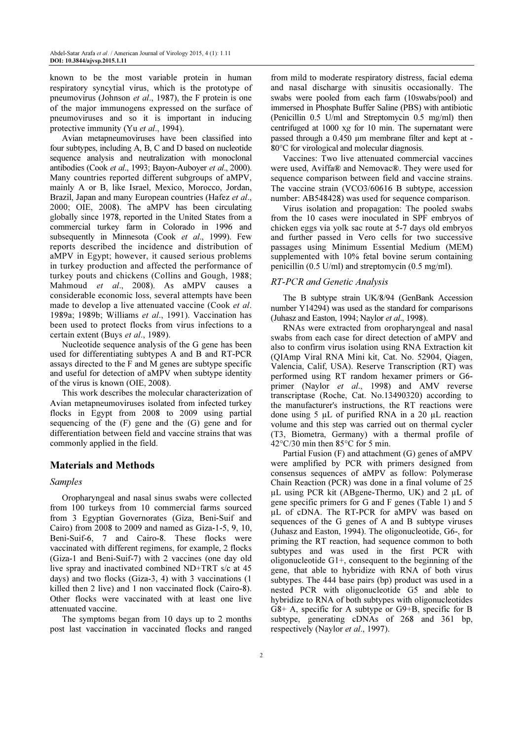known to be the most variable protein in human respiratory syncytial virus, which is the prototype of pneumovirus (Johnson et al., 1987), the F protein is one of the major immunogens expressed on the surface of pneumoviruses and so it is important in inducing protective immunity (Yu et al., 1994).

Avian metapneumoviruses have been classified into four subtypes, including A, B, C and D based on nucleotide sequence analysis and neutralization with monoclonal antibodies (Cook et al., 1993; Bayon-Auboyer et al., 2000). Many countries reported different subgroups of aMPV, mainly A or B, like Israel, Mexico, Morocco, Jordan, Brazil, Japan and many European countries (Hafez et al., 2000; OIE, 2008). The aMPV has been circulating globally since 1978, reported in the United States from a commercial turkey farm in Colorado in 1996 and subsequently in Minnesota (Cook et al., 1999). Few reports described the incidence and distribution of aMPV in Egypt; however, it caused serious problems in turkey production and affected the performance of turkey pouts and chickens (Collins and Gough, 1988; Mahmoud et al., 2008). As aMPV causes a considerable economic loss, several attempts have been made to develop a live attenuated vaccine (Cook et al. 1989a; 1989b; Williams et al., 1991). Vaccination has been used to protect flocks from virus infections to a certain extent (Buys et al., 1989).

Nucleotide sequence analysis of the G gene has been used for differentiating subtypes A and B and RT-PCR assays directed to the F and M genes are subtype specific and useful for detection of aMPV when subtype identity of the virus is known (OIE, 2008).

This work describes the molecular characterization of Avian metapneumoviruses isolated from infected turkey flocks in Egypt from 2008 to 2009 using partial sequencing of the (F) gene and the (G) gene and for differentiation between field and vaccine strains that was commonly applied in the field.

# Materials and Methods

#### Samples

Oropharyngeal and nasal sinus swabs were collected from 100 turkeys from 10 commercial farms sourced from 3 Egyptian Governorates (Giza, Beni-Suif and Cairo) from 2008 to 2009 and named as Giza-1-5, 9, 10, Beni-Suif-6, 7 and Cairo-8. These flocks were vaccinated with different regimens, for example, 2 flocks (Giza-1 and Beni-Suif-7) with 2 vaccines (one day old live spray and inactivated combined ND+TRT s/c at 45 days) and two flocks (Giza-3, 4) with 3 vaccinations (1 killed then 2 live) and 1 non vaccinated flock (Cairo-8). Other flocks were vaccinated with at least one live attenuated vaccine.

The symptoms began from 10 days up to 2 months post last vaccination in vaccinated flocks and ranged

from mild to moderate respiratory distress, facial edema and nasal discharge with sinusitis occasionally. The swabs were pooled from each farm (10swabs/pool) and immersed in Phosphate Buffer Saline (PBS) with antibiotic (Penicillin 0.5 U/ml and Streptomycin 0.5 mg/ml) then centrifuged at 1000 xg for 10 min. The supernatant were passed through a 0.450 µm membrane filter and kept at -80°C for virological and molecular diagnosis.

Vaccines: Two live attenuated commercial vaccines were used, Aviffa® and Nemovac®. They were used for sequence comparison between field and vaccine strains. The vaccine strain (VCO3/60616 B subtype, accession number: AB548428) was used for sequence comparison.

Virus isolation and propagation: The pooled swabs from the 10 cases were inoculated in SPF embryos of chicken eggs via yolk sac route at 5-7 days old embryos and further passed in Vero cells for two successive passages using Minimum Essential Medium (MEM) supplemented with 10% fetal bovine serum containing penicillin (0.5 U/ml) and streptomycin (0.5 mg/ml).

#### RT-PCR and Genetic Analysis

The B subtype strain UK/8/94 (GenBank Accession number Y14294) was used as the standard for comparisons (Juhasz and Easton, 1994; Naylor et al., 1998).

RNAs were extracted from oropharyngeal and nasal swabs from each case for direct detection of aMPV and also to confirm virus isolation using RNA Extraction kit (QIAmp Viral RNA Mini kit, Cat. No. 52904, Qiagen, Valencia, Calif, USA). Reserve Transcription (RT) was performed using RT random hexamer primers or G6 primer (Naylor et al., 1998) and AMV reverse transcriptase (Roche, Cat. No.13490320) according to the manufacturer's instructions, the RT reactions were done using 5 µL of purified RNA in a 20 µL reaction volume and this step was carried out on thermal cycler (T3, Biometra, Germany) with a thermal profile of 42°C/30 min then 85°C for 5 min.

Partial Fusion (F) and attachment (G) genes of aMPV were amplified by PCR with primers designed from consensus sequences of aMPV as follow: Polymerase Chain Reaction (PCR) was done in a final volume of 25 µL using PCR kit (ABgene-Thermo, UK) and 2 µL of gene specific primers for G and F genes (Table 1) and 5 µL of cDNA. The RT-PCR for aMPV was based on sequences of the G genes of A and B subtype viruses (Juhasz and Easton, 1994). The oligonucleotide, G6-, for priming the RT reaction, had sequence common to both subtypes and was used in the first PCR with oligonucleotide G1+, consequent to the beginning of the gene, that able to hybridize with RNA of both virus subtypes. The 444 base pairs (bp) product was used in a nested PCR with oligonucleotide G5 and able to hybridize to RNA of both subtypes with oligonucleotides G8+ A, specific for A subtype or G9+B, specific for B subtype, generating cDNAs of 268 and 361 bp, respectively (Naylor et al., 1997).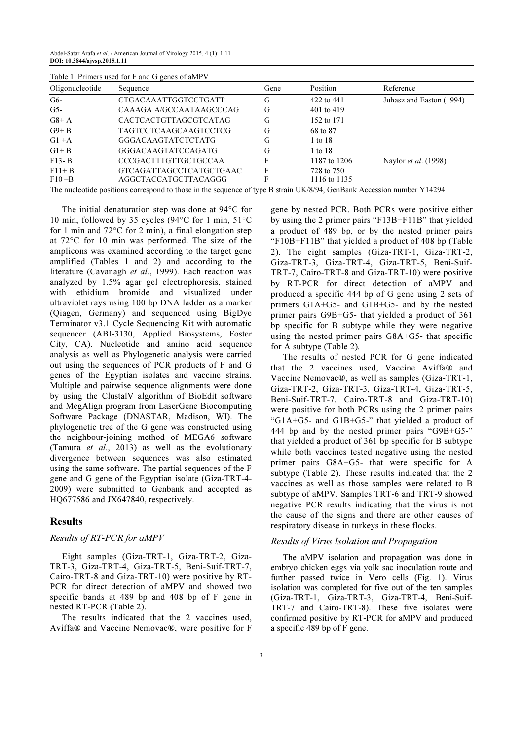Abdel-Satar Arafa et al. / American Journal of Virology 2015, 4 (1): 1.11 DOI: 10.3844/ajvsp.2015.1.11

|                 | Table 1. Primers used for F and G genes of aMPV |      |              |                             |
|-----------------|-------------------------------------------------|------|--------------|-----------------------------|
| Oligonucleotide | Sequence                                        | Gene | Position     | Reference                   |
| G6-             | <b>CTGACAAATTGGTCCTGATT</b>                     | G    | 422 to 441   | Juhasz and Easton (1994)    |
| $G5-$           | CAAAGA A/GCCAATAAGCCCAG                         | G    | 401 to 419   |                             |
| $G8+A$          | CACTCACTGTTAGCGTCATAG                           | G    | 152 to 171   |                             |
| $G9 + B$        | TAGTCCTCAAGCAAGTCCTCG                           | G    | 68 to 87     |                             |
| $G1 + A$        | GGGACAAGTATCTCTATG                              | G    | 1 to 18      |                             |
| $G1 + B$        | GGGACAAGTATCCAGATG                              | G    | 1 to 18      |                             |
| $F13 - B$       | <b>CCCGACTTTGTTGCTGCCAA</b>                     | F    | 1187 to 1206 | Naylor <i>et al.</i> (1998) |
| $F11 + B$       | GTCAGATTAGCCTCATGCTGAAC                         | F    | 728 to 750   |                             |
| $F10-B$         | AGGCTACCATGCTTACAGGG                            | F    | 1116 to 1135 |                             |

The nucleotide positions correspond to those in the sequence of type B strain UK/8/94, GenBank Accession number Y14294

The initial denaturation step was done at 94°C for 10 min, followed by 35 cycles (94°C for 1 min, 51°C for 1 min and  $72^{\circ}$ C for 2 min), a final elongation step at 72°C for 10 min was performed. The size of the amplicons was examined according to the target gene amplified (Tables 1 and 2) and according to the literature (Cavanagh et al., 1999). Each reaction was analyzed by 1.5% agar gel electrophoresis, stained with ethidium bromide and visualized under ultraviolet rays using 100 bp DNA ladder as a marker (Qiagen, Germany) and sequenced using BigDye Terminator v3.1 Cycle Sequencing Kit with automatic sequencer (ABI-3130, Applied Biosystems, Foster City, CA). Nucleotide and amino acid sequence analysis as well as Phylogenetic analysis were carried out using the sequences of PCR products of F and G genes of the Egyptian isolates and vaccine strains. Multiple and pairwise sequence alignments were done by using the ClustalV algorithm of BioEdit software and MegAlign program from LaserGene Biocomputing Software Package (DNASTAR, Madison, WI). The phylogenetic tree of the G gene was constructed using the neighbour-joining method of MEGA6 software (Tamura et al., 2013) as well as the evolutionary divergence between sequences was also estimated using the same software. The partial sequences of the F gene and G gene of the Egyptian isolate (Giza-TRT-4- 2009) were submitted to Genbank and accepted as HQ677586 and JX647840, respectively.

#### Results

#### Results of RT-PCR for aMPV

Eight samples (Giza-TRT-1, Giza-TRT-2, Giza-TRT-3, Giza-TRT-4, Giza-TRT-5, Beni-Suif-TRT-7, Cairo-TRT-8 and Giza-TRT-10) were positive by RT-PCR for direct detection of aMPV and showed two specific bands at 489 bp and 408 bp of F gene in nested RT-PCR (Table 2).

The results indicated that the 2 vaccines used, Aviffa® and Vaccine Nemovac®, were positive for F

gene by nested PCR. Both PCRs were positive either by using the 2 primer pairs "F13B+F11B" that yielded a product of 489 bp, or by the nested primer pairs "F10B+F11B" that yielded a product of 408 bp (Table 2). The eight samples (Giza-TRT-1, Giza-TRT-2, Giza-TRT-3, Giza-TRT-4, Giza-TRT-5, Beni-Suif-TRT-7, Cairo-TRT-8 and Giza-TRT-10) were positive by RT-PCR for direct detection of aMPV and produced a specific 444 bp of G gene using 2 sets of primers G1A+G5- and G1B+G5- and by the nested primer pairs G9B+G5- that yielded a product of 361 bp specific for B subtype while they were negative using the nested primer pairs G8A+G5- that specific for A subtype (Table 2).

The results of nested PCR for G gene indicated that the 2 vaccines used, Vaccine Aviffa® and Vaccine Nemovac®, as well as samples (Giza-TRT-1, Giza-TRT-2, Giza-TRT-3, Giza-TRT-4, Giza-TRT-5, Beni-Suif-TRT-7, Cairo-TRT-8 and Giza-TRT-10) were positive for both PCRs using the 2 primer pairs "G1A+G5- and G1B+G5-" that yielded a product of 444 bp and by the nested primer pairs "G9B+G5-" that yielded a product of 361 bp specific for B subtype while both vaccines tested negative using the nested primer pairs G8A+G5- that were specific for A subtype (Table 2). These results indicated that the 2 vaccines as well as those samples were related to B subtype of aMPV. Samples TRT-6 and TRT-9 showed negative PCR results indicating that the virus is not the cause of the signs and there are other causes of respiratory disease in turkeys in these flocks.

# Results of Virus Isolation and Propagation

The aMPV isolation and propagation was done in embryo chicken eggs via yolk sac inoculation route and further passed twice in Vero cells (Fig. 1). Virus isolation was completed for five out of the ten samples (Giza-TRT-1, Giza-TRT-3, Giza-TRT-4, Beni-Suif-TRT-7 and Cairo-TRT-8). These five isolates were confirmed positive by RT-PCR for aMPV and produced a specific 489 bp of F gene.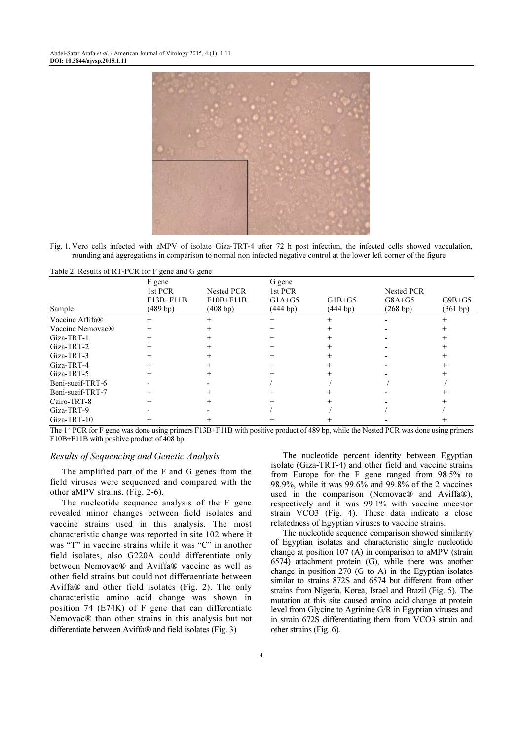

Fig. 1. Vero cells infected with aMPV of isolate Giza-TRT-4 after 72 h post infection, the infected cells showed vacculation, rounding and aggregations in comparison to normal non infected negative control at the lower left corner of the figure

| Table 2. Results of RT-PUR for F gene and G gene |                                               |                                        |                                                        |                       |                                          |                      |
|--------------------------------------------------|-----------------------------------------------|----------------------------------------|--------------------------------------------------------|-----------------------|------------------------------------------|----------------------|
| Sample                                           | F gene<br>1st PCR<br>$F13B + F11B$<br>(489 b) | Nested PCR<br>$F10B + F11B$<br>(408 b) | G gene<br>1st PCR<br>$G1A+G5$<br>(444 b <sub>p</sub> ) | $G1B+G5$<br>(444 b p) | <b>Nested PCR</b><br>$G8A+G5$<br>(268 b) | $G9B+G5$<br>(361 bp) |
| Vaccine Affifa®                                  |                                               |                                        |                                                        |                       |                                          |                      |
| Vaccine Nemovac <sup>®</sup>                     |                                               |                                        |                                                        |                       |                                          |                      |
| Giza-TRT-1                                       |                                               |                                        |                                                        |                       |                                          |                      |
| Giza-TRT-2                                       |                                               |                                        |                                                        |                       |                                          |                      |
| Giza-TRT-3                                       |                                               |                                        |                                                        |                       |                                          |                      |
| Giza-TRT-4                                       |                                               |                                        |                                                        |                       |                                          |                      |
| Giza-TRT-5                                       |                                               |                                        |                                                        |                       |                                          |                      |
| Beni-sueif-TRT-6                                 |                                               |                                        |                                                        |                       |                                          |                      |
| Beni-sueif-TRT-7                                 |                                               |                                        |                                                        |                       |                                          |                      |
| Cairo-TRT-8                                      |                                               |                                        |                                                        |                       |                                          |                      |
| Giza-TRT-9                                       |                                               |                                        |                                                        |                       |                                          |                      |
| Giza-TRT-10                                      |                                               |                                        |                                                        |                       |                                          |                      |

 $T_{\rm{t}}$   $T_{\rm{t}}$   $T_{\rm{t}}$   $T_{\rm{t}}$   $T_{\rm{t}}$   $T_{\rm{t}}$   $T_{\rm{t}}$   $T_{\rm{t}}$   $T_{\rm{t}}$   $T_{\rm{t}}$   $T_{\rm{t}}$   $T_{\rm{t}}$   $T_{\rm{t}}$   $T_{\rm{t}}$   $T_{\rm{t}}$   $T_{\rm{t}}$   $T_{\rm{t}}$   $T_{\rm{t}}$   $T_{\rm{t}}$   $T_{\rm{t}}$   $T_{\rm{t}}$   $T_{\rm{t}}$ 

The 1<sup>st</sup> PCR for F gene was done using primers F13B+F11B with positive product of 489 bp, while the Nested PCR was done using primers F10B+F11B with positive product of 408 bp

### Results of Sequencing and Genetic Analysis

The amplified part of the F and G genes from the field viruses were sequenced and compared with the other aMPV strains. (Fig. 2-6).

The nucleotide sequence analysis of the F gene revealed minor changes between field isolates and vaccine strains used in this analysis. The most characteristic change was reported in site 102 where it was "T" in vaccine strains while it was "C" in another field isolates, also G220A could differentiate only between Nemovac® and Aviffa® vaccine as well as other field strains but could not differaentiate between Aviffa® and other field isolates (Fig. 2). The only characteristic amino acid change was shown in position 74 (E74K) of F gene that can differentiate Nemovac® than other strains in this analysis but not differentiate between Aviffa® and field isolates (Fig. 3)

The nucleotide percent identity between Egyptian isolate (Giza-TRT-4) and other field and vaccine strains from Europe for the F gene ranged from 98.5% to 98.9%, while it was 99.6% and 99.8% of the 2 vaccines used in the comparison (Nemovac® and Aviffa®), respectively and it was 99.1% with vaccine ancestor strain VCO3 (Fig. 4). These data indicate a close relatedness of Egyptian viruses to vaccine strains.

The nucleotide sequence comparison showed similarity of Egyptian isolates and characteristic single nucleotide change at position 107 (A) in comparison to aMPV (strain 6574) attachment protein (G), while there was another change in position 270 (G to A) in the Egyptian isolates similar to strains 872S and 6574 but different from other strains from Nigeria, Korea, Israel and Brazil (Fig. 5). The mutation at this site caused amino acid change at protein level from Glycine to Agrinine G/R in Egyptian viruses and in strain 672S differentiating them from VCO3 strain and other strains (Fig. 6).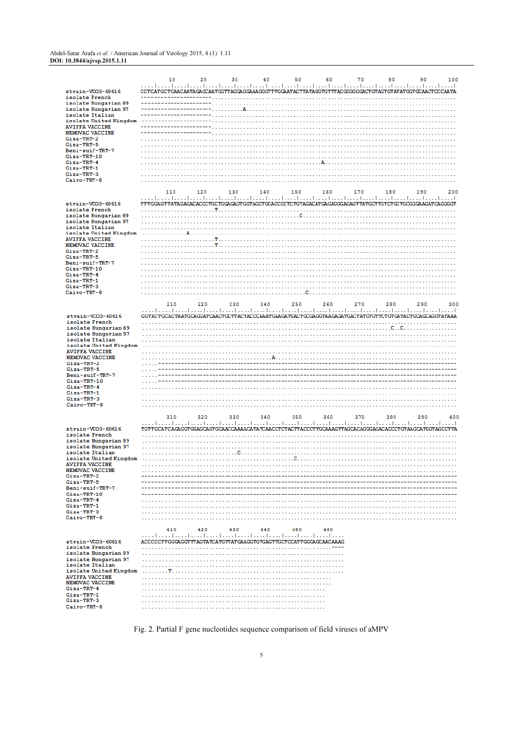#### Abdel-Satar Arafa et al. / American Journal of Virology 2015, 4 (1): 1.11 DOI: 10.3844/ajvsp.2015.1.11

|                                                 | 10                                                                                                                                                                                                                    | 20  | 30  | 40           | 50  | 60        | 70  | 80  | 90  | 100 |
|-------------------------------------------------|-----------------------------------------------------------------------------------------------------------------------------------------------------------------------------------------------------------------------|-----|-----|--------------|-----|-----------|-----|-----|-----|-----|
|                                                 | المتما المتما متما المتما المتما المتمار لمتما لمتما المتما لمتما لمتما لمتما المتما لمتما لمتما المتما لمتما<br>CCTCATGCTGAACAATAGAGCAATGGTTAGGAGGAAAGGGTTTGGAATACTTATAGGTGTTTACGGGGGGACTGTAGTGTATATGGTGCAACTCCCAATA |     |     |              |     |           |     |     |     |     |
| strain-VCO3-60616<br>isolate French             |                                                                                                                                                                                                                       |     |     |              |     |           |     |     |     |     |
| isolate Hungarian 89                            |                                                                                                                                                                                                                       |     |     |              |     |           |     |     |     |     |
| isolate Hungarian 97<br>isolate Italian         |                                                                                                                                                                                                                       |     |     |              |     |           |     |     |     |     |
| isolate United Kingdom                          | ---------------                                                                                                                                                                                                       |     |     |              |     |           |     |     |     |     |
| <b>AVIFFA VACCINE</b>                           |                                                                                                                                                                                                                       |     |     |              |     |           |     |     |     |     |
| NEMOVAC VACCINE<br>Giza-TRT-2                   |                                                                                                                                                                                                                       |     |     |              |     |           |     |     |     |     |
| Giza-TRT-5                                      |                                                                                                                                                                                                                       |     |     |              |     |           |     |     |     |     |
| Beni-suif-TRT-7                                 |                                                                                                                                                                                                                       |     |     |              |     |           |     |     |     |     |
| Giza-TRT-10<br>Giza-TRT-4                       |                                                                                                                                                                                                                       |     |     |              |     | $\lambda$ |     |     |     |     |
| Giza-TRT-1                                      |                                                                                                                                                                                                                       |     |     |              |     |           |     |     |     |     |
| Giza-TRT-3                                      |                                                                                                                                                                                                                       |     |     |              |     |           |     |     |     |     |
| Cairo-TRT-8                                     |                                                                                                                                                                                                                       |     |     |              |     |           |     |     |     |     |
|                                                 | 110                                                                                                                                                                                                                   | 120 | 130 | 140          | 150 | 160       | 170 | 180 | 190 | 200 |
| strain-VCO3-60616                               | TTTGGAGTTATAGAGACACCCTGCTGGAGAGTGGTAGCTGCACCCCTCTGTAGACATGAGAGGGAGAGTTATGCTTGTCTGCTGCGGGAAGATCAGGGGT                                                                                                                  |     |     |              |     |           |     |     |     |     |
| isolate French                                  |                                                                                                                                                                                                                       |     |     |              |     |           |     |     |     |     |
| isolate Hungarian 89                            |                                                                                                                                                                                                                       |     |     |              |     |           |     |     |     |     |
| isolate Hungarian 97<br>isolate Italian         |                                                                                                                                                                                                                       |     |     |              |     |           |     |     |     |     |
| isolate United Kingdom                          | . <b>. A</b>                                                                                                                                                                                                          |     |     |              |     |           |     |     |     |     |
| <b>AVIFFA VACCINE</b>                           | .                                                                                                                                                                                                                     |     |     |              |     |           |     |     |     |     |
| NEMOVAC VACCINE<br>Giza-TRT-2                   |                                                                                                                                                                                                                       |     |     |              |     |           |     |     |     |     |
| Giza-TRT-5                                      |                                                                                                                                                                                                                       |     |     |              |     |           |     |     |     |     |
| Beni-suif-TRT-7                                 |                                                                                                                                                                                                                       |     |     |              |     |           |     |     |     |     |
| Giza-TRT-10<br>Giza-TRT-4                       |                                                                                                                                                                                                                       |     |     |              |     |           |     |     |     |     |
| Giza-TRT-1                                      |                                                                                                                                                                                                                       |     |     |              |     |           |     |     |     |     |
| Giza-TRT-3<br>Cairo-TRT-8                       |                                                                                                                                                                                                                       |     |     |              |     |           |     |     |     |     |
|                                                 |                                                                                                                                                                                                                       |     |     |              |     |           |     |     |     |     |
|                                                 | 210                                                                                                                                                                                                                   | 220 | 230 | 240          | 250 | 260       | 270 | 280 | 290 | 300 |
| strain-VCO3-60616                               | GGTACTGCACTAATGCAGGATCAACTGCTTACTACCCAAATGAAGATGACTGCGAGGTAAGAGATGACTATGTGTTCTGTGATACTGCAGCAGGTATAAA                                                                                                                  |     |     |              |     |           |     |     |     |     |
| isolate French                                  |                                                                                                                                                                                                                       |     |     |              |     |           |     |     |     |     |
| isolate Hungarian 89                            |                                                                                                                                                                                                                       |     |     |              |     |           |     |     |     |     |
| isolate Hungarian 97<br>isolate Italian         |                                                                                                                                                                                                                       |     |     |              |     |           |     |     |     |     |
| isolate United Kingdom                          |                                                                                                                                                                                                                       |     |     |              |     |           |     |     |     |     |
| <b>AVIFFA VACCINE</b><br>NEMOVAC VACCINE        |                                                                                                                                                                                                                       |     |     |              |     |           |     |     |     |     |
| Giza-TRT-2                                      |                                                                                                                                                                                                                       |     |     |              |     |           |     |     |     |     |
| Giza-TRT-5                                      |                                                                                                                                                                                                                       |     |     |              |     |           |     |     |     |     |
| Beni-suif-TRT-7<br>Giza-TRT-10                  |                                                                                                                                                                                                                       |     |     |              |     |           |     |     |     |     |
| Giza-TRT-4                                      |                                                                                                                                                                                                                       |     |     |              |     |           |     |     |     |     |
| Giza-TRT-1<br>Giza-TRT-3                        |                                                                                                                                                                                                                       |     |     |              |     |           |     |     |     |     |
| Cairo-TRT-8                                     |                                                                                                                                                                                                                       |     |     |              |     |           |     |     |     |     |
|                                                 |                                                                                                                                                                                                                       |     |     |              |     |           |     |     |     |     |
|                                                 | 310                                                                                                                                                                                                                   | 320 | 330 | 340          | 350 | 360       | 370 | 380 | 390 | 400 |
| strain-VCO3-60616                               | TGTTGCATCAGAGGTGGAGCAGTGCAACCAAAACATATCAACCTCTACTTACCCTTGCAAAGTTAGCACAGGGAGACACCCTGTAAGCATGGTAGCCTTA                                                                                                                  |     |     |              |     |           |     |     |     |     |
| isolate French                                  |                                                                                                                                                                                                                       |     |     |              |     |           |     |     |     |     |
| isolate Hungarian 89<br>isolate Hungarian 97    |                                                                                                                                                                                                                       |     |     |              |     |           |     |     |     |     |
| isolate Italian                                 |                                                                                                                                                                                                                       |     |     | . <b>C</b> . |     |           |     |     |     |     |
| isolate United Kingdom<br><b>AVIFFA VACCINE</b> |                                                                                                                                                                                                                       | .   |     |              |     |           |     |     |     |     |
| NEMOVAC VACCINE                                 |                                                                                                                                                                                                                       |     |     |              |     |           |     |     |     |     |
| Giza-TRT-2                                      |                                                                                                                                                                                                                       |     |     |              |     |           |     |     |     |     |
| Giza-TRT-5<br>Beni-suif-TRT-7                   |                                                                                                                                                                                                                       |     |     |              |     |           |     |     |     |     |
| Giza-TRT-10                                     |                                                                                                                                                                                                                       |     |     |              |     |           |     |     |     |     |
| Giza-TRT-4<br>Giza-TRT-1                        |                                                                                                                                                                                                                       |     |     |              |     |           |     |     |     |     |
| $Gi$ za-TRT-3                                   |                                                                                                                                                                                                                       |     |     |              |     |           |     |     |     |     |
| Cairo-TRT-8                                     |                                                                                                                                                                                                                       |     |     |              |     |           |     |     |     |     |
|                                                 | 410                                                                                                                                                                                                                   | 420 | 430 | 440          | 450 | 460       |     |     |     |     |
|                                                 |                                                                                                                                                                                                                       |     |     |              |     |           |     |     |     |     |
| strain-VCO3-60616                               | ACCCCCTTGGGAGGTTTAGTATCATGTTATGAAGGTGTGAGTTGCTCCATTGGCAGCAACAAAG                                                                                                                                                      |     |     |              |     |           |     |     |     |     |
| isolate French<br>isolate Hungarian 89          |                                                                                                                                                                                                                       |     |     |              |     |           |     |     |     |     |
| isolate Hungarian 97                            |                                                                                                                                                                                                                       |     |     |              |     |           |     |     |     |     |
| isolate Italian                                 |                                                                                                                                                                                                                       |     |     |              |     |           |     |     |     |     |
| isolate United Kingdom<br><b>AVIFFA VACCINE</b> |                                                                                                                                                                                                                       |     |     |              |     |           |     |     |     |     |
| NEMOVAC VACCINE                                 |                                                                                                                                                                                                                       |     |     |              |     |           |     |     |     |     |
| Giza-TRT-4<br>Giza-TRT-1                        |                                                                                                                                                                                                                       |     |     |              |     |           |     |     |     |     |
| Giza-TRT-3                                      |                                                                                                                                                                                                                       |     |     |              |     |           |     |     |     |     |
| Cairo-TRT-8                                     |                                                                                                                                                                                                                       |     |     |              |     |           |     |     |     |     |

Fig. 2. Partial F gene nucleotides sequence comparison of field viruses of aMPV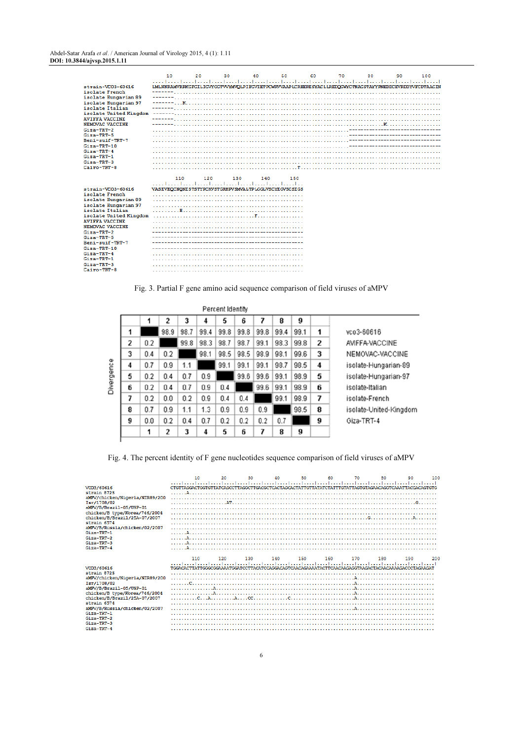|                                     | 10                                                                                                   |     | 30  | 40                                                                                                   | 50  | 60 | 70 |    |    | 100 |
|-------------------------------------|------------------------------------------------------------------------------------------------------|-----|-----|------------------------------------------------------------------------------------------------------|-----|----|----|----|----|-----|
|                                     |                                                                                                      | 20  |     |                                                                                                      |     |    |    | 80 | 90 |     |
|                                     |                                                                                                      |     |     | المتطلق والمتمرا ومصاحبها ومتطلق والمتوا ومتوا ومتواصحها ومتوا ومتوا ومتوا ومتوا ومتوا ومتوا ومتوازر |     |    |    |    |    |     |
| strain-VCO3-60616<br>isolate French | LMLNNRAMVRRKGFGILIGVYGGTVVYMVOLPIFGVIETPCWRVVAAPLCRHERESYACLLREDOGWYCTNAGSTAYYPNEDDCEVRDDYVFCDTAAGIN |     |     |                                                                                                      |     |    |    |    |    |     |
|                                     |                                                                                                      |     |     |                                                                                                      |     |    |    |    |    |     |
| isolate Hungarian 89                |                                                                                                      |     |     |                                                                                                      |     |    |    |    |    |     |
| isolate Hungarian 97                |                                                                                                      |     |     |                                                                                                      |     |    |    |    |    |     |
| isolate Italian                     |                                                                                                      |     |     |                                                                                                      |     |    |    |    |    |     |
| isolate United Kingdom              |                                                                                                      |     |     |                                                                                                      |     |    |    |    |    |     |
| <b>AVIFFA VACCINE</b>               |                                                                                                      |     |     |                                                                                                      |     |    |    |    |    |     |
| <b>NEMOVAC VACCINE</b>              |                                                                                                      |     |     |                                                                                                      |     |    |    |    |    |     |
| Giza-TRT-2                          |                                                                                                      |     |     |                                                                                                      |     |    |    |    |    |     |
| Giza-TRT-5                          |                                                                                                      |     |     |                                                                                                      |     |    |    |    |    |     |
| Beni-suif-TRT-7                     |                                                                                                      |     |     |                                                                                                      |     |    |    |    |    |     |
| Giza-TRT-10                         |                                                                                                      |     |     |                                                                                                      |     |    |    |    |    |     |
| Giza-TRT-4                          |                                                                                                      |     |     |                                                                                                      |     |    |    |    |    |     |
| Giza-TRT-1                          |                                                                                                      |     |     |                                                                                                      |     |    |    |    |    |     |
| Giza-TRT-3                          |                                                                                                      |     |     |                                                                                                      |     |    |    |    |    |     |
| $Caino-TRT-8$                       |                                                                                                      |     |     |                                                                                                      |     |    |    |    |    |     |
|                                     |                                                                                                      |     |     |                                                                                                      |     |    |    |    |    |     |
|                                     | 110                                                                                                  | 120 | 130 | 140                                                                                                  | 150 |    |    |    |    |     |
|                                     |                                                                                                      |     |     |                                                                                                      |     |    |    |    |    |     |
| strain-VCO3-60616                   | VASEVEOCNONISTSTYPCKVSTGRHPVSMVALTPLGGLVSCYEGVSCSIGS                                                 |     |     |                                                                                                      |     |    |    |    |    |     |
| isolate French                      |                                                                                                      |     |     |                                                                                                      |     |    |    |    |    |     |
| isolate Hungarian 89                |                                                                                                      |     |     |                                                                                                      |     |    |    |    |    |     |
| isolate Hungarian 97                |                                                                                                      |     |     |                                                                                                      |     |    |    |    |    |     |
| isolate Italian                     |                                                                                                      |     |     |                                                                                                      |     |    |    |    |    |     |
| isolate United Kingdom              |                                                                                                      |     |     |                                                                                                      |     |    |    |    |    |     |
| <b>AVIFFA VACCINE</b>               |                                                                                                      |     |     |                                                                                                      |     |    |    |    |    |     |
| NEMOVAC VACCINE                     |                                                                                                      |     |     |                                                                                                      |     |    |    |    |    |     |
| Giza-TRT-2                          |                                                                                                      |     |     |                                                                                                      |     |    |    |    |    |     |
| Giza-TRT-5                          |                                                                                                      |     |     |                                                                                                      |     |    |    |    |    |     |
| Beni-suif-TRT-7                     |                                                                                                      |     |     |                                                                                                      |     |    |    |    |    |     |
| Giza-TRT-10                         |                                                                                                      |     |     |                                                                                                      |     |    |    |    |    |     |
| Giza-TRT-4                          |                                                                                                      |     |     |                                                                                                      |     |    |    |    |    |     |
| Giza-TRT-1                          |                                                                                                      |     |     |                                                                                                      |     |    |    |    |    |     |
| Giza-TRT-3                          |                                                                                                      |     |     |                                                                                                      |     |    |    |    |    |     |
| Cairo-TRT-8                         |                                                                                                      |     |     |                                                                                                      |     |    |    |    |    |     |

Fig. 3. Partial F gene amino acid sequence comparison of field viruses of aMPV

|                |     |                |      |      | Percent Identity |      |      |      |      |                |                        |
|----------------|-----|----------------|------|------|------------------|------|------|------|------|----------------|------------------------|
|                |     | $\overline{c}$ | 3    | 4    | 5                | 6    |      | 8    | 9    |                |                        |
| 1              |     | 98.9           | 98.7 | 99.4 | 99.8             | 99.8 | 99.8 | 99.4 | 99.1 | 1              | vco3-60616             |
| $\overline{c}$ | 0.2 |                | 99.8 | 98.3 | 98.7             | 98.7 | 99.1 | 98.3 | 99.8 | $\overline{2}$ | AVIFFA-VACCINE         |
| 3              | 0.4 | 0.2            |      | 98.1 | 98.5             | 98.5 | 98.9 | 98.1 | 99.6 | 3              | NEMOVAC-VACCINE        |
| 4              | 0.7 | 0.9            | 1.1  |      | 99.1             | 99.1 | 99.1 | 98.7 | 98.5 | 4              | isolate-Hungarian-89   |
| 5              | 0.2 | 0.4            | 0.7  | 0.9  |                  | 99.6 | 99.6 | 99.1 | 98.9 | 5              | isolate-Hungarian-97   |
| 6              | 0.2 | 0.4            | 0.7  | 0.9  | 0.4              |      | 99.6 | 99.1 | 98.9 | 6              | isolate-Italian        |
| 7              | 0.2 | 0.0            | 0.2  | 0.9  | 0.4              | 0.4  |      | 99.1 | 98.9 | 7              | isolate-French         |
| 8              | 0.7 | 0.9            | 1.1  | 1.3  | 0.9              | 0.9  | 0.9  |      | 98.5 | 8              | isolate-United-Kingdom |
| 9              | 0.0 | 0.2            | 0.4  | 0.7  | 0.2              | 0.2  | 0.2  | 0.7  |      | 9              | Giza-TRT-4             |
|                | 1   | 2              | 3    | 4    | 5                | 6    | 7    | 8    | 9    |                |                        |

Fig. 4. The percent identity of F gene nucleotides sequence comparison of field viruses of aMPV

| VCD3/60616<br>strain 872S<br>aMPV/chicken/Nigeria/NIR89/200<br>Isr/1708/02<br>aMPV/B/Brazil-05/USP-01<br>chicken/B type/Korea/746/2004<br>chicken/B/Brazil/25A-07/2007<br>strain 6574<br>aMPV/B/Russia/chicken/02/2007<br>Giza-TRT-1<br>Giza-TRT-2<br>$Giza-TRT-3$<br>$Giza-TRT-4$ | 10<br>CTGTTAGGACTGGTGTTATCAGCCTTAGGCTTGACGCTCACTAGCACTATTGTTATATCTATTTGTATTAGTGTAGAACAGGTCAAATTACGACAGTGTG | 20  | 30  | 40  | 50  | 60  | 70  | 80  | 90  | 100 |
|------------------------------------------------------------------------------------------------------------------------------------------------------------------------------------------------------------------------------------------------------------------------------------|------------------------------------------------------------------------------------------------------------|-----|-----|-----|-----|-----|-----|-----|-----|-----|
| VCO3/60616<br>strain 872S<br>aMPV/chicken/Nigeria/NIR89/200<br>Isr/1708/02<br>aMPV/B/Brazil-05/USP-01<br>chicken/B type/Korea/746/2004<br>chicken/B/Brazil/25A-07/2007<br>strain 6574<br>aMPV/B/Russia/chicken/02/2007<br>$Giza-TRT-1$<br>Giza-TRT-2<br>Giza-TRT-3<br>Giza-TRT-4   | 110<br>TGGACACTTATTGGGCGGAAAATGGATCCTTACATCCAGGACAGTCAACAGAAAATACTTCAACAAGAGGTAAGACTACAACAAAAGACCCTAGAAGAC | 120 | 130 | 140 | 150 | 160 | 170 | 180 | 190 | 200 |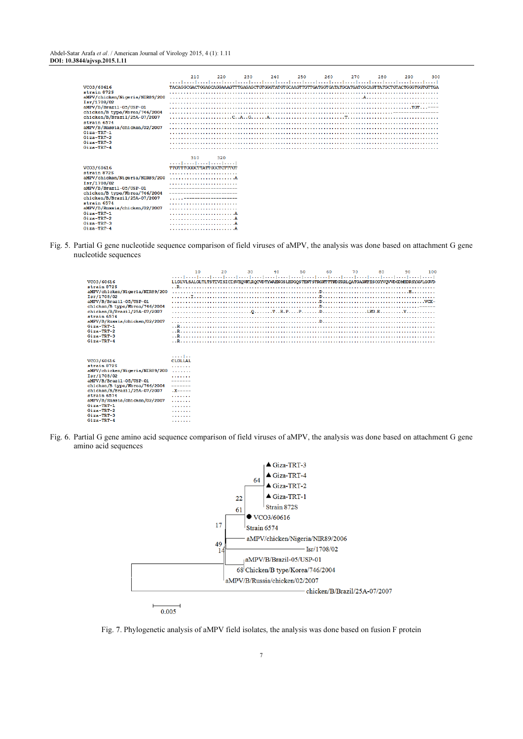Abdel-Satar Arafa et al. / American Journal of Virology 2015, 4 (1): 1.11 DOI: 10.3844/ajvsp.2015.1.11

| VCO3/60616<br>strain 872S<br>aMPV/chicken/Nigeria/NIR89/200<br>Isr/1708/02<br>aMPV/B/Brazil-05/USP-01<br>chicken/B type/Korea/746/2004<br>chicken/B/Brazil/25A-07/2007<br>strain 6574<br>aMPV/B/Russia/chicken/02/2007<br>$Giza-TRT-1$<br>Giza-TRT-2<br>Giza-TRT-3<br>Giza-TRT-4     | 210<br>TACAGGCGACTGGAGCAGGAAAGTTTGAGAGCTGTGGGTATGTGCAAGTTGTTGATGGTGATATGCATGATCGCAGTTATGCTGTACTGGGTGTGTTGA | 220 | 230 | 240 | 250 | 260 | 270 | 280 | 290 | 300 |
|--------------------------------------------------------------------------------------------------------------------------------------------------------------------------------------------------------------------------------------------------------------------------------------|------------------------------------------------------------------------------------------------------------|-----|-----|-----|-----|-----|-----|-----|-----|-----|
| VCO3/60616<br>strain 872S<br>aMPV/chicken/Nigeria/NIR89/200<br>Isr/1708/02<br>aMPV/B/Brazil-05/USP-01<br>chicken/B type/Korea/746/2004<br>chicken/B/Brazil/25A-07/2007<br>strain 6574<br>aMPV/B/Russia/chicken/02/2007<br>Giza-TRT-1<br>$Giza-TRT-2$<br>$Giza-TRT-3$<br>$Giza-TRT-4$ | 310<br>TTGTTTGGGCTTATTGGCTCTTTGT                                                                           | 320 |     |     |     |     |     |     |     |     |

Fig. 5. Partial G gene nucleotide sequence comparison of field viruses of aMPV, the analysis was done based on attachment G gene nucleotide sequences

|                                                                                                                                                                                                                                                                                  | 10                                                                                                          | 20 | 30 | 40 | 50 | 60 | 70 | 80 | 90 | 100 |
|----------------------------------------------------------------------------------------------------------------------------------------------------------------------------------------------------------------------------------------------------------------------------------|-------------------------------------------------------------------------------------------------------------|----|----|----|----|----|----|----|----|-----|
|                                                                                                                                                                                                                                                                                  | المتما ومصارفته المتما متما ومصارفته المتمار بمحارفته المتما وتبط وتبط وتحط وتتما وتتطرف والمتما وتتما وتنط |    |    |    |    |    |    |    |    |     |
| VCO3/60616                                                                                                                                                                                                                                                                       | LLGLVLSALGLTLTSTIVISICISVEOVKLROCVDTYWAENGSLHPGOSTENTSTRGKTTTKDPRRLOATGAGKFESCGYVOVVDGDMHDRSYAVLGGVD        |    |    |    |    |    |    |    |    |     |
| strain 872S                                                                                                                                                                                                                                                                      |                                                                                                             |    |    |    |    |    |    |    |    |     |
| aMPV/chicken/Nigeria/NIR89/200                                                                                                                                                                                                                                                   |                                                                                                             |    |    |    |    |    |    |    |    |     |
| Isr/1708/02                                                                                                                                                                                                                                                                      |                                                                                                             |    |    |    |    |    |    |    |    |     |
| aMPV/B/Brazil-05/USP-01                                                                                                                                                                                                                                                          |                                                                                                             |    |    |    |    |    |    |    |    |     |
| chicken/B type/Korea/746/2004                                                                                                                                                                                                                                                    |                                                                                                             |    |    |    |    |    |    |    |    |     |
| chicken/B/Brazil/25A-07/2007                                                                                                                                                                                                                                                     |                                                                                                             |    |    |    |    |    |    |    |    |     |
| strain 6574                                                                                                                                                                                                                                                                      |                                                                                                             |    |    |    |    |    |    |    |    |     |
| aMPV/B/Russia/chicken/02/2007                                                                                                                                                                                                                                                    |                                                                                                             |    |    |    |    |    |    |    |    |     |
| Giza-TRT-1                                                                                                                                                                                                                                                                       |                                                                                                             |    |    |    |    |    |    |    |    |     |
| Giza-TRT-2                                                                                                                                                                                                                                                                       |                                                                                                             |    |    |    |    |    |    |    |    |     |
| Giza-TRT-3                                                                                                                                                                                                                                                                       |                                                                                                             |    |    |    |    |    |    |    |    |     |
| $Gi$ za-TRT-4                                                                                                                                                                                                                                                                    |                                                                                                             |    |    |    |    |    |    |    |    |     |
| VCO3/60616<br>strain 872S<br>aMPV/chicken/Nigeria/NIR89/200<br>Isr/1708/02<br>aMPV/B/Brazil-05/USP-01<br>chicken/B type/Korea/746/2004<br>chicken/B/Brazil/25A-07/2007<br>strain 6574<br>aMPV/B/Russia/chicken/02/2007<br>Giza-TRT-1<br>Giza-TRT-2<br>$Giza-TRT-3$<br>Giza-TRT-4 | . 1<br>CLGLLAL<br>.<br>.<br>.<br>-------<br>$X$ -----<br>.<br>.<br>.<br>.<br>.<br>.                         |    |    |    |    |    |    |    |    |     |
|                                                                                                                                                                                                                                                                                  |                                                                                                             |    |    |    |    |    |    |    |    |     |

Fig. 6. Partial G gene amino acid sequence comparison of field viruses of aMPV, the analysis was done based on attachment G gene amino acid sequences



Fig. 7. Phylogenetic analysis of aMPV field isolates, the analysis was done based on fusion F protein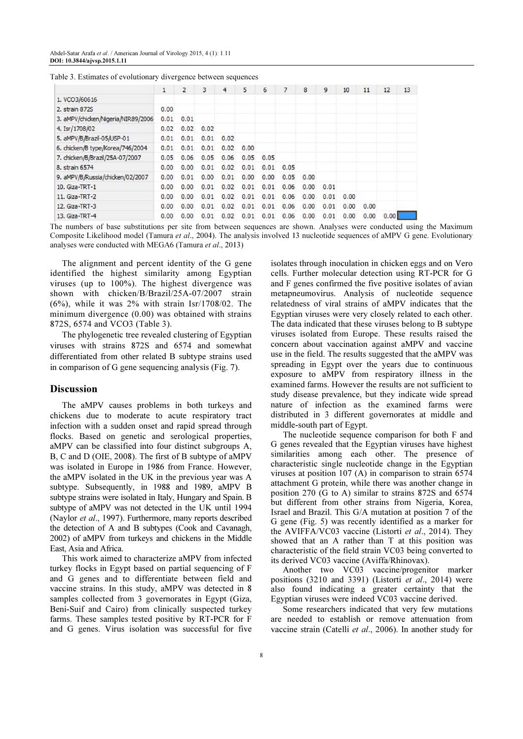|                                    | $\mathbf{1}$ | $\overline{2}$ | 3    | 4    | 5    | 6    |      | 8    | 9    | 10   | 11   | 12    | 13 |
|------------------------------------|--------------|----------------|------|------|------|------|------|------|------|------|------|-------|----|
| 1. VCO3/60616                      |              |                |      |      |      |      |      |      |      |      |      |       |    |
| 2. strain 872S                     | 0.00         |                |      |      |      |      |      |      |      |      |      |       |    |
| 3. aMPV/chicken/Nigeria/NIR89/2006 | 0.01         | 0.01           |      |      |      |      |      |      |      |      |      |       |    |
| 4. Isr/1708/02                     | 0.02         | 0.02           | 0.02 |      |      |      |      |      |      |      |      |       |    |
| 5. aMPV/B/Brazil-05/USP-01         | 0.01         | 0.01           | 0.01 | 0.02 |      |      |      |      |      |      |      |       |    |
| 6. chicken/B type/Korea/746/2004   | 0.01         | 0.01           | 0.01 | 0.02 | 0.00 |      |      |      |      |      |      |       |    |
| 7. chicken/B/Brazil/25A-07/2007    | 0.05         | 0.06           | 0.05 | 0.06 | 0.05 | 0.05 |      |      |      |      |      |       |    |
| 8. strain 6574                     | 0.00         | 0.00           | 0.01 | 0.02 | 0.01 | 0.01 | 0.05 |      |      |      |      |       |    |
| 9. aMPV/B/Russia/chicken/02/2007   | 0.00         | 0.01           | 0.00 | 0.01 | 0.00 | 0.00 | 0.05 | 0.00 |      |      |      |       |    |
| 10. Giza-TRT-1                     | 0.00         | 0.00           | 0.01 | 0.02 | 0.01 | 0.01 | 0.06 | 0.00 | 0.01 |      |      |       |    |
| 11. Giza-TRT-2                     | 0.00         | 0.00           | 0.01 | 0.02 | 0.01 | 0.01 | 0.06 | 0.00 | 0.01 | 0.00 |      |       |    |
| 12. Giza-TRT-3                     | 0.00         | 0.00           | 0.01 | 0.02 | 0.01 | 0.01 | 0.06 | 0.00 | 0.01 | 0.00 | 0.00 |       |    |
| 13. Giza-TRT-4                     | 0.00         | 0.00           | 0.01 | 0.02 | 0.01 | 0.01 | 0.06 | 0.00 | 0.01 | 0.00 | 0.00 | 0.001 |    |

Table 3. Estimates of evolutionary divergence between sequences

The numbers of base substitutions per site from between sequences are shown. Analyses were conducted using the Maximum Composite Likelihood model (Tamura et al., 2004). The analysis involved 13 nucleotide sequences of aMPV G gene. Evolutionary analyses were conducted with MEGA6 (Tamura et al., 2013)

The alignment and percent identity of the G gene identified the highest similarity among Egyptian viruses (up to 100%). The highest divergence was shown with chicken/B/Brazil/25A-07/2007 strain  $(6%)$ , while it was  $2%$  with strain Isr/1708/02. The minimum divergence (0.00) was obtained with strains 872S, 6574 and VCO3 (Table 3).

The phylogenetic tree revealed clustering of Egyptian viruses with strains 872S and 6574 and somewhat differentiated from other related B subtype strains used in comparison of G gene sequencing analysis (Fig. 7).

#### Discussion

The aMPV causes problems in both turkeys and chickens due to moderate to acute respiratory tract infection with a sudden onset and rapid spread through flocks. Based on genetic and serological properties, aMPV can be classified into four distinct subgroups A, B, C and D (OIE, 2008). The first of B subtype of aMPV was isolated in Europe in 1986 from France. However, the aMPV isolated in the UK in the previous year was A subtype. Subsequently, in 1988 and 1989, aMPV B subtype strains were isolated in Italy, Hungary and Spain. B subtype of aMPV was not detected in the UK until 1994 (Naylor et al., 1997). Furthermore, many reports described the detection of A and B subtypes (Cook and Cavanagh, 2002) of aMPV from turkeys and chickens in the Middle East, Asia and Africa.

This work aimed to characterize aMPV from infected turkey flocks in Egypt based on partial sequencing of F and G genes and to differentiate between field and vaccine strains. In this study, aMPV was detected in 8 samples collected from 3 governorates in Egypt (Giza, Beni-Suif and Cairo) from clinically suspected turkey farms. These samples tested positive by RT-PCR for F and G genes. Virus isolation was successful for five isolates through inoculation in chicken eggs and on Vero cells. Further molecular detection using RT-PCR for G and F genes confirmed the five positive isolates of avian metapneumovirus. Analysis of nucleotide sequence relatedness of viral strains of aMPV indicates that the Egyptian viruses were very closely related to each other. The data indicated that these viruses belong to B subtype viruses isolated from Europe. These results raised the concern about vaccination against aMPV and vaccine use in the field. The results suggested that the aMPV was spreading in Egypt over the years due to continuous exposure to aMPV from respiratory illness in the examined farms. However the results are not sufficient to study disease prevalence, but they indicate wide spread nature of infection as the examined farms were distributed in 3 different governorates at middle and middle-south part of Egypt.

The nucleotide sequence comparison for both F and G genes revealed that the Egyptian viruses have highest similarities among each other. The presence of characteristic single nucleotide change in the Egyptian viruses at position 107 (A) in comparison to strain 6574 attachment G protein, while there was another change in position 270 (G to A) similar to strains 872S and 6574 but different from other strains from Nigeria, Korea, Israel and Brazil. This G/A mutation at position 7 of the G gene (Fig. 5) was recently identified as a marker for the AVIFFA/VC03 vaccine (Listorti et al., 2014). They showed that an A rather than T at this position was characteristic of the field strain VC03 being converted to its derived VC03 vaccine (Aviffa/Rhinovax).

Another two VC03 vaccine/progenitor marker positions (3210 and 3391) (Listorti et al., 2014) were also found indicating a greater certainty that the Egyptian viruses were indeed VC03 vaccine derived.

Some researchers indicated that very few mutations are needed to establish or remove attenuation from vaccine strain (Catelli et al., 2006). In another study for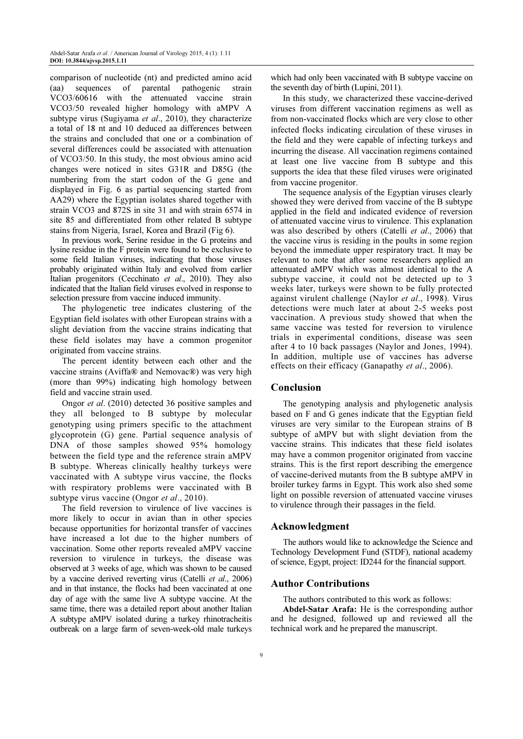comparison of nucleotide (nt) and predicted amino acid (aa) sequences of parental pathogenic strain VCO3/60616 with the attenuated vaccine strain VCO3/50 revealed higher homology with aMPV A subtype virus (Sugiyama et al., 2010), they characterize a total of 18 nt and 10 deduced aa differences between the strains and concluded that one or a combination of several differences could be associated with attenuation of VCO3/50. In this study, the most obvious amino acid changes were noticed in sites G31R and D85G (the numbering from the start codon of the G gene and displayed in Fig. 6 as partial sequencing started from AA29) where the Egyptian isolates shared together with strain VCO3 and 872S in site 31 and with strain 6574 in site 85 and differentiated from other related B subtype stains from Nigeria, Israel, Korea and Brazil (Fig 6).

In previous work, Serine residue in the G proteins and lysine residue in the F protein were found to be exclusive to some field Italian viruses, indicating that those viruses probably originated within Italy and evolved from earlier Italian progenitors (Cecchinato et al., 2010). They also indicated that the Italian field viruses evolved in response to selection pressure from vaccine induced immunity.

The phylogenetic tree indicates clustering of the Egyptian field isolates with other European strains with a slight deviation from the vaccine strains indicating that these field isolates may have a common progenitor originated from vaccine strains.

The percent identity between each other and the vaccine strains (Aviffa® and Nemovac®) was very high (more than 99%) indicating high homology between field and vaccine strain used.

Ongor et al. (2010) detected 36 positive samples and they all belonged to B subtype by molecular genotyping using primers specific to the attachment glycoprotein (G) gene. Partial sequence analysis of DNA of those samples showed 95% homology between the field type and the reference strain aMPV B subtype. Whereas clinically healthy turkeys were vaccinated with A subtype virus vaccine, the flocks with respiratory problems were vaccinated with B subtype virus vaccine (Ongor *et al.*, 2010).

The field reversion to virulence of live vaccines is more likely to occur in avian than in other species because opportunities for horizontal transfer of vaccines have increased a lot due to the higher numbers of vaccination. Some other reports revealed aMPV vaccine reversion to virulence in turkeys, the disease was observed at 3 weeks of age, which was shown to be caused by a vaccine derived reverting virus (Catelli et al., 2006) and in that instance, the flocks had been vaccinated at one day of age with the same live A subtype vaccine. At the same time, there was a detailed report about another Italian A subtype aMPV isolated during a turkey rhinotracheitis outbreak on a large farm of seven-week-old male turkeys

which had only been vaccinated with B subtype vaccine on the seventh day of birth (Lupini, 2011).

In this study, we characterized these vaccine-derived viruses from different vaccination regimens as well as from non-vaccinated flocks which are very close to other infected flocks indicating circulation of these viruses in the field and they were capable of infecting turkeys and incurring the disease. All vaccination regimens contained at least one live vaccine from B subtype and this supports the idea that these filed viruses were originated from vaccine progenitor.

The sequence analysis of the Egyptian viruses clearly showed they were derived from vaccine of the B subtype applied in the field and indicated evidence of reversion of attenuated vaccine virus to virulence. This explanation was also described by others (Catelli et al., 2006) that the vaccine virus is residing in the poults in some region beyond the immediate upper respiratory tract. It may be relevant to note that after some researchers applied an attenuated aMPV which was almost identical to the A subtype vaccine, it could not be detected up to 3 weeks later, turkeys were shown to be fully protected against virulent challenge (Naylor et al., 1998). Virus detections were much later at about 2-5 weeks post vaccination. A previous study showed that when the same vaccine was tested for reversion to virulence trials in experimental conditions, disease was seen after 4 to 10 back passages (Naylor and Jones, 1994). In addition, multiple use of vaccines has adverse effects on their efficacy (Ganapathy *et al.*, 2006).

#### Conclusion

The genotyping analysis and phylogenetic analysis based on F and G genes indicate that the Egyptian field viruses are very similar to the European strains of B subtype of aMPV but with slight deviation from the vaccine strains. This indicates that these field isolates may have a common progenitor originated from vaccine strains. This is the first report describing the emergence of vaccine-derived mutants from the B subtype aMPV in broiler turkey farms in Egypt. This work also shed some light on possible reversion of attenuated vaccine viruses to virulence through their passages in the field.

#### Acknowledgment

The authors would like to acknowledge the Science and Technology Development Fund (STDF), national academy of science, Egypt, project: ID244 for the financial support.

### Author Contributions

The authors contributed to this work as follows: Abdel-Satar Arafa: He is the corresponding author and he designed, followed up and reviewed all the technical work and he prepared the manuscript.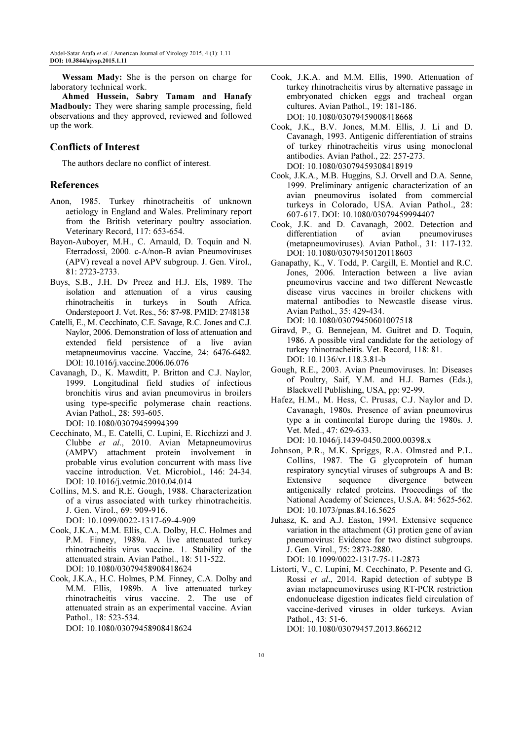Wessam Mady: She is the person on charge for laboratory technical work.

Ahmed Hussein, Sabry Tamam and Hanafy Madbouly: They were sharing sample processing, field observations and they approved, reviewed and followed up the work.

# Conflicts of Interest

The authors declare no conflict of interest.

### References

- Anon, 1985. Turkey rhinotracheitis of unknown aetiology in England and Wales. Preliminary report from the British veterinary poultry association. Veterinary Record, 117: 653-654.
- Bayon-Auboyer, M.H., C. Arnauld, D. Toquin and N. Eterradossi, 2000. c-A/non-B avian Pneumoviruses (APV) reveal a novel APV subgroup. J. Gen. Virol., 81: 2723-2733.
- Buys, S.B., J.H. Dv Preez and H.J. Els, 1989. The isolation and attenuation of a virus causing rhinotracheitis in turkeys in South Africa. Onderstepoort J. Vet. Res., 56: 87-98. PMID: 2748138
- Catelli, E., M. Cecchinato, C.E. Savage, R.C. Jones and C.J. Naylor, 2006. Demonstration of loss of attenuation and extended field persistence of a live avian metapneumovirus vaccine. Vaccine, 24: 6476-6482. DOI: 10.1016/j.vaccine.2006.06.076
- Cavanagh, D., K. Mawditt, P. Britton and C.J. Naylor, 1999. Longitudinal field studies of infectious bronchitis virus and avian pneumovirus in broilers using type-specific polymerase chain reactions. Avian Pathol., 28: 593-605. DOI: 10.1080/03079459994399
- Cecchinato, M., E. Catelli, C. Lupini, E. Ricchizzi and J. Clubbe et al., 2010. Avian Metapneumovirus (AMPV) attachment protein involvement in probable virus evolution concurrent with mass live vaccine introduction. Vet. Microbiol., 146: 24-34. DOI: 10.1016/j.vetmic.2010.04.014
- Collins, M.S. and R.E. Gough, 1988. Characterization of a virus associated with turkey rhinotracheitis. J. Gen. Virol., 69: 909-916. DOI: 10.1099/0022-1317-69-4-909
- Cook, J.K.A., M.M. Ellis, C.A. Dolby, H.C. Holmes and P.M. Finney, 1989a. A live attenuated turkey rhinotracheitis virus vaccine. 1. Stability of the attenuated strain. Avian Pathol., 18: 511-522. DOI: 10.1080/03079458908418624
- Cook, J.K.A., H.C. Holmes, P.M. Finney, C.A. Dolby and M.M. Ellis, 1989b. A live attenuated turkey rhinotracheitis virus vaccine. 2. The use of attenuated strain as an experimental vaccine. Avian Pathol., 18: 523-534. DOI: 10.1080/03079458908418624
- Cook, J.K.A. and M.M. Ellis, 1990. Attenuation of turkey rhinotracheitis virus by alternative passage in embryonated chicken eggs and tracheal organ cultures. Avian Pathol., 19: 181-186. DOI: 10.1080/03079459008418668
- Cook, J.K., B.V. Jones, M.M. Ellis, J. Li and D. Cavanagh, 1993. Antigenic differentiation of strains of turkey rhinotracheitis virus using monoclonal antibodies. Avian Pathol., 22: 257-273. DOI: 10.1080/03079459308418919
- Cook, J.K.A., M.B. Huggins, S.J. Orvell and D.A. Senne, 1999. Preliminary antigenic characterization of an avian pneumovirus isolated from commercial turkeys in Colorado, USA. Avian Pathol., 28: 607-617. DOI: 10.1080/03079459994407
- Cook, J.K. and D. Cavanagh, 2002. Detection and differentiation of avian pneumoviruses (metapneumoviruses). Avian Pathol., 31: 117-132. DOI: 10.1080/03079450120118603
- Ganapathy, K., V. Todd, P. Cargill, E. Montiel and R.C. Jones, 2006. Interaction between a live avian pneumovirus vaccine and two different Newcastle disease virus vaccines in broiler chickens with maternal antibodies to Newcastle disease virus. Avian Pathol., 35: 429-434. DOI: 10.1080/03079450601007518
- Giravd, P., G. Bennejean, M. Guitret and D. Toquin, 1986. A possible viral candidate for the aetiology of turkey rhinotracheitis. Vet. Record, 118: 81. DOI: 10.1136/vr.118.3.81-b
- Gough, R.E., 2003. Avian Pneumoviruses. In: Diseases of Poultry, Saif, Y.M. and H.J. Barnes (Eds.), Blackwell Publishing, USA, pp: 92-99.
- Hafez, H.M., M. Hess, C. Prusas, C.J. Naylor and D. Cavanagh, 1980s. Presence of avian pneumovirus type a in continental Europe during the 1980s. J. Vet. Med., 47: 629-633.

DOI: 10.1046/j.1439-0450.2000.00398.x

- Johnson, P.R., M.K. Spriggs, R.A. Olmsted and P.L. Collins, 1987. The G glycoprotein of human respiratory syncytial viruses of subgroups A and B: Extensive sequence divergence between antigenically related proteins. Proceedings of the National Academy of Sciences, U.S.A. 84: 5625-562. DOI: 10.1073/pnas.84.16.5625
- Juhasz, K. and A.J. Easton, 1994. Extensive sequence variation in the attachment (G) protien gene of avian pneumovirus: Evidence for two distinct subgroups. J. Gen. Virol., 75: 2873-2880. DOI: 10.1099/0022-1317-75-11-2873
- Listorti, V., C. Lupini, M. Cecchinato, P. Pesente and G. Rossi et al., 2014. Rapid detection of subtype B avian metapneumoviruses using RT-PCR restriction endonuclease digestion indicates field circulation of vaccine-derived viruses in older turkeys. Avian Pathol., 43: 51-6.

DOI: 10.1080/03079457.2013.866212